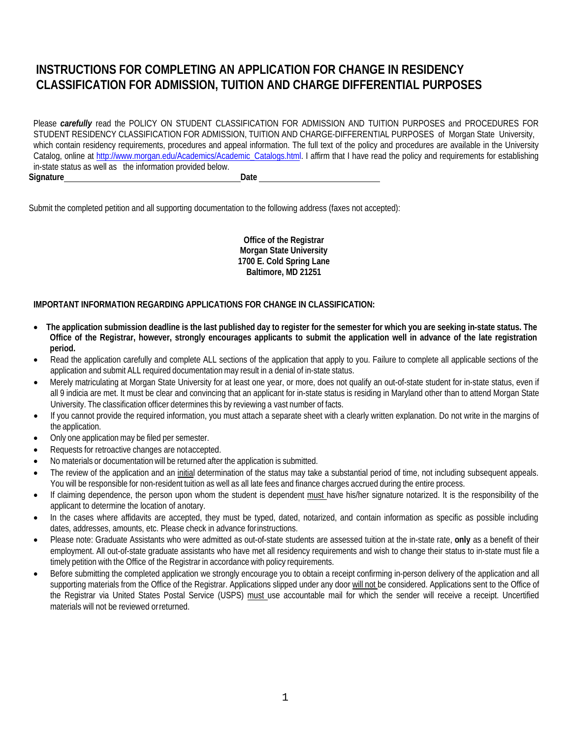# **INSTRUCTIONS FOR COMPLETING AN APPLICATION FOR CHANGE IN RESIDENCY CLASSIFICATION FOR ADMISSION, TUITION AND CHARGE DIFFERENTIAL PURPOSES**

Please *carefully* read the POLICY ON STUDENT CLASSIFICATION FOR ADMISSION AND TUITION PURPOSES and PROCEDURES FOR STUDENT RESIDENCY CLASSIFICATION FOR ADMISSION, TUITION AND CHARGE-DIFFERENTIAL PURPOSES of Morgan State University, which contain residency requirements, procedures and appeal information. The full text of the policy and procedures are available in the University Catalog, online at [http://www.morgan.edu/Academics/Academic\\_Catalogs.html.](http://www.morgan.edu/Academics/Academic_Catalogs.html) I affirm that I have read the policy and requirements for establishing in-state status as well as the information provided below. **Signature Date**

Submit the completed petition and all supporting documentation to the following address (faxes not accepted):

**Office of the Registrar Morgan State University 1700 E. Cold Spring Lane Baltimore, MD 21251**

#### **IMPORTANT INFORMATION REGARDING APPLICATIONS FOR CHANGE IN CLASSIFICATION:**

- The application submission deadline is the last published day to register for the semester for which you are seeking in-state status. The **Office of the Registrar, however, strongly encourages applicants to submit the application well in advance of the late registration period.**
- Read the application carefully and complete ALL sections of the application that apply to you. Failure to complete all applicable sections of the application and submit ALL required documentation may result in a denial of in-state status.
- Merely matriculating at Morgan State University for at least one year, or more, does not qualify an out-of-state student for in-state status, even if all 9 indicia are met. It must be clear and convincing that an applicant for in-state status is residing in Maryland other than to attend Morgan State University. The classification officer determines this by reviewing a vast number of facts.
- If you cannot provide the required information, you must attach a separate sheet with a clearly written explanation. Do not write in the margins of the application.
- Only one application may be filed per semester.
- Requests for retroactive changes are not accepted.
- No materials or documentation will be returned after the application is submitted.
- The review of the application and an initial determination of the status may take a substantial period of time, not including subsequent appeals. You will be responsible for non-resident tuition as well as all late fees and finance charges accrued during the entire process.
- If claiming dependence, the person upon whom the student is dependent must have his/her signature notarized. It is the responsibility of the applicant to determine the location of anotary.
- In the cases where affidavits are accepted, they must be typed, dated, notarized, and contain information as specific as possible including dates, addresses, amounts, etc. Please check in advance forinstructions.
- Please note: Graduate Assistants who were admitted as out-of-state students are assessed tuition at the in-state rate, **only** as a benefit of their employment. All out-of-state graduate assistants who have met all residency requirements and wish to change their status to in-state must file a timely petition with the Office of the Registrar in accordance with policy requirements.
- Before submitting the completed application we strongly encourage you to obtain a receipt confirming in-person delivery of the application and all supporting materials from the Office of the Registrar. Applications slipped under any door will not be considered. Applications sent to the Office of the Registrar via United States Postal Service (USPS) must use accountable mail for which the sender will receive a receipt. Uncertified materials will not be reviewed orreturned.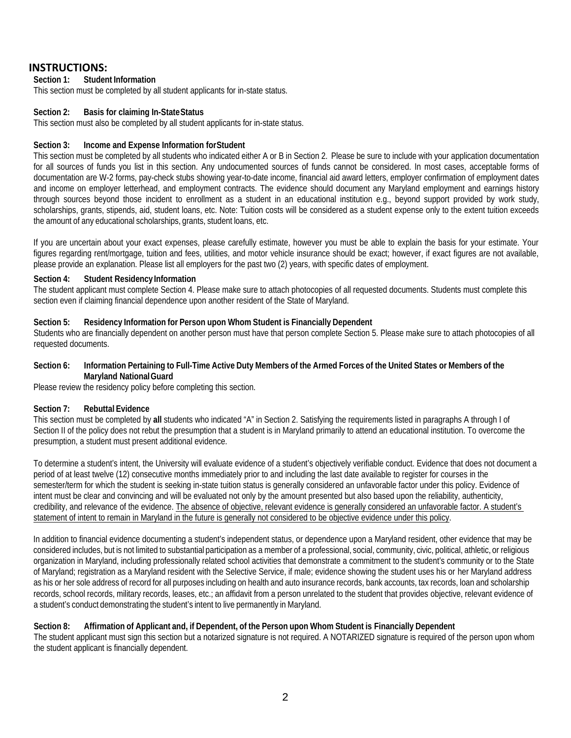# **INSTRUCTIONS:**<br>Section 1: Studen

#### **Section 1: Student Information**

This section must be completed by all student applicants for in-state status.

#### **Section 2: Basis for claiming In-StateStatus**

This section must also be completed by all student applicants for in-state status.

#### **Section 3: Income and Expense Information forStudent**

This section must be completed by all students who indicated either A or B in Section 2. Please be sure to include with your application documentation for all sources of funds you list in this section. Any undocumented sources of funds cannot be considered. In most cases, acceptable forms of documentation are W-2 forms, pay-check stubs showing year-to-date income, financial aid award letters, employer confirmation of employment dates and income on employer letterhead, and employment contracts. The evidence should document any Maryland employment and earnings history through sources beyond those incident to enrollment as a student in an educational institution e.g., beyond support provided by work study, scholarships, grants, stipends, aid, student loans, etc. Note: Tuition costs will be considered as a student expense only to the extent tuition exceeds the amount of any educational scholarships, grants, student loans, etc.

If you are uncertain about your exact expenses, please carefully estimate, however you must be able to explain the basis for your estimate. Your figures regarding rent/mortgage, tuition and fees, utilities, and motor vehicle insurance should be exact; however, if exact figures are not available, please provide an explanation. Please list all employers for the past two (2) years, with specific dates of employment.

#### **Section 4: Student ResidencyInformation**

The student applicant must complete Section 4. Please make sure to attach photocopies of all requested documents. Students must complete this section even if claiming financial dependence upon another resident of the State of Maryland.

#### **Section 5: Residency Information for Person upon Whom Student is Financially Dependent**

Students who are financially dependent on another person must have that person complete Section 5. Please make sure to attach photocopies of all requested documents.

#### Section 6: Information Pertaining to Full-Time Active Duty Members of the Armed Forces of the United States or Members of the **Maryland NationalGuard**

Please review the residency policy before completing this section.

#### **Section 7: Rebuttal Evidence**

This section must be completed by **all** students who indicated "A" in Section 2. Satisfying the requirements listed in paragraphs A through I of Section II of the policy does not rebut the presumption that a student is in Maryland primarily to attend an educational institution. To overcome the presumption, a student must present additional evidence.

To determine a student's intent, the University will evaluate evidence of a student's objectively verifiable conduct. Evidence that does not document a period of at least twelve (12) consecutive months immediately prior to and including the last date available to register for courses in the semester/term for which the student is seeking in-state tuition status is generally considered an unfavorable factor under this policy. Evidence of intent must be clear and convincing and will be evaluated not only by the amount presented but also based upon the reliability, authenticity, credibility, and relevance of the evidence. The absence of objective, relevant evidence is generally considered an unfavorable factor. A student's statement of intent to remain in Maryland in the future is generally not considered to be objective evidence under this policy.

In addition to financial evidence documenting a student's independent status, or dependence upon a Maryland resident, other evidence that may be considered includes, but is not limited to substantial participation as a member of a professional, social, community, civic, political, athletic, or religious organization in Maryland, including professionally related school activities that demonstrate a commitment to the student's community or to the State of Maryland; registration as a Maryland resident with the Selective Service, if male; evidence showing the student uses his or her Maryland address as his or her sole address of record for all purposes including on health and auto insurance records, bank accounts, tax records, loan and scholarship records, school records, military records, leases, etc.; an affidavit from a person unrelated to the student that provides objective, relevant evidence of a student's conduct demonstrating the student's intent to live permanently in Maryland.

#### Section 8: Affirmation of Applicant and, if Dependent, of the Person upon Whom Student is Financially Dependent

The student applicant must sign this section but a notarized signature is not required. A NOTARIZED signature is required of the person upon whom the student applicant is financially dependent.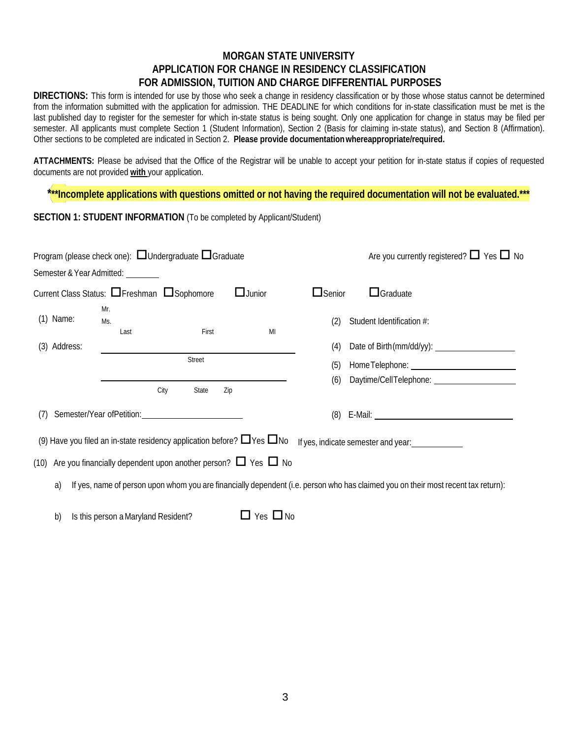# **MORGAN STATE UNIVERSITY APPLICATION FOR CHANGE IN RESIDENCY CLASSIFICATION FOR ADMISSION, TUITION AND CHARGE DIFFERENTIAL PURPOSES**

**DIRECTIONS:** This form is intended for use by those who seek a change in residency classification or by those whose status cannot be determined from the information submitted with the application for admission. THE DEADLINE for which conditions for in-state classification must be met is the last published day to register for the semester for which in-state status is being sought. Only one application for change in status may be filed per semester. All applicants must complete Section 1 (Student Information), Section 2 (Basis for claiming in-state status), and Section 8 (Affirmation). Other sections to be completed are indicated in Section 2. **Please provide documentationwhereappropriate/required.**

**ATTACHMENTS:** Please be advised that the Office of the Registrar will be unable to accept your petition for in-state status if copies of requested documents are not provided **with** your application.

**\*\*\*Incomplete applications with questions omitted or not having the required documentation will not be evaluated.\*\*\***

**SECTION 1: STUDENT INFORMATION** (To be completed by Applicant/Student)

|     |              |     |                                     | Program (please check one): $\Box$ Undergraduate $\Box$ Graduate                                                  |                                                                                   |               | Are you currently registered? $\Box$ Yes $\Box$ No                                                                                |
|-----|--------------|-----|-------------------------------------|-------------------------------------------------------------------------------------------------------------------|-----------------------------------------------------------------------------------|---------------|-----------------------------------------------------------------------------------------------------------------------------------|
|     |              |     | Semester & Year Admitted: ________  |                                                                                                                   |                                                                                   |               |                                                                                                                                   |
|     |              |     |                                     | Current Class Status: □ Freshman □ Sophomore                                                                      | $\Box$ Junior                                                                     | $\Box$ Senior | $\Box$ Graduate                                                                                                                   |
|     | $(1)$ Name:  | Mr. | Ms.<br>Last                         | First                                                                                                             | MI                                                                                | (2)           | Student Identification #:                                                                                                         |
|     | (3) Address: |     |                                     |                                                                                                                   |                                                                                   | (4)           |                                                                                                                                   |
|     |              |     |                                     | <b>Street</b><br>City<br>State                                                                                    | Zip                                                                               | (5)<br>(6)    |                                                                                                                                   |
| (7) |              |     |                                     | Semester/Year ofPetition: Charles Community Community Community Community Community Community Community Community |                                                                                   | (8)           | E-Mail: <u>Contract Communication</u>                                                                                             |
|     |              |     |                                     |                                                                                                                   | (9) Have you filed an in-state residency application before? $\Box$ Yes $\Box$ No |               |                                                                                                                                   |
|     |              |     |                                     |                                                                                                                   | (10) Are you financially dependent upon another person? $\Box$ Yes $\Box$ No      |               |                                                                                                                                   |
|     | a)           |     |                                     |                                                                                                                   |                                                                                   |               | If yes, name of person upon whom you are financially dependent (i.e. person who has claimed you on their most recent tax return): |
|     | b)           |     | Is this person a Maryland Resident? |                                                                                                                   | $\Box$ Yes $\Box$ No                                                              |               |                                                                                                                                   |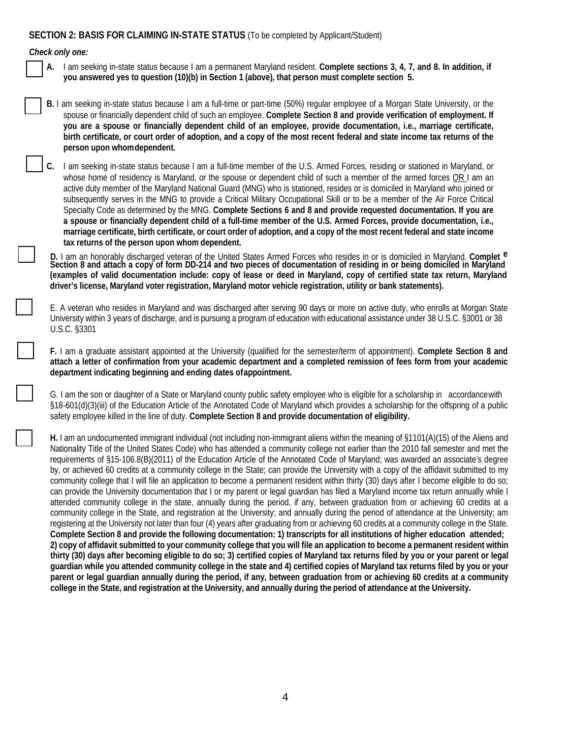### **SECTION 2: BASIS FOR CLAIMING IN-STATE STATUS** (To be completed by Applicant/Student)

#### *Check only one:*

- **A.** I am seeking in-state status because I am a permanent Maryland resident. **Complete sections 3, 4, 7, and 8. In addition, if you answered yes to question (10)(b) in Section 1 (above), that person must complete section 5.**
- **B.** I am seeking in-state status because I am a full-time or part-time (50%) regular employee of a Morgan State University, or the spouse or financially dependent child of such an employee. **Complete Section 8 and provide verification of employment. If you are a spouse or financially dependent child of an employee, provide documentation, i.e., marriage certificate, birth certificate, or court order of adoption, and a copy of the most recent federal and state income tax returns of the person upon whomdependent.**

**C.** I am seeking in-state status because I am a full-time member of the U.S. Armed Forces, residing or stationed in Maryland, or whose home of residency is Maryland, or the spouse or dependent child of such a member of the armed forces OR I am an active duty member of the Maryland National Guard (MNG) who is stationed, resides or is domiciled in Maryland who joined or subsequently serves in the MNG to provide a Critical Military Occupational Skill or to be a member of the Air Force Critical Specialty Code as determined by the MNG. **Complete Sections 6 and 8 and provide requested documentation. If you are a spouse or financially dependent child of a full-time member of the U.S. Armed Forces, provide documentation, i.e.,**  marriage certificate, birth certificate, or court order of adoption, and a copy of the most recent federal and state income **tax returns of the person upon whom dependent.**

**D.** I am an honorably discharged veteran of the United States Armed Forces who resides in or is domiciled in Maryland. **Complet e**  Section 8 and attach a copy of form DD-214 and two pieces of documentation of residing in or being domiciled in Maryland **(examples of valid documentation include: copy of lease or deed in Maryland, copy of certified state tax return, Maryland driver's license, Maryland voter registration, Maryland motor vehicle registration, utility or bank statements).**

E. A veteran who resides in Maryland and was discharged after serving 90 days or more on active duty, who enrolls at Morgan State University within 3 years of discharge, and is pursuing a program of education with educational assistance under 38 U.S.C. §3001 or 38 U.S.C. §3301

**F.** I am a graduate assistant appointed at the University (qualified for the semester/term of appointment). **Complete Section 8 and attach a letter of confirmation from your academic department and a completed remission of fees form from your academic department indicating beginning and ending dates ofappointment.**

G. I am the son or daughter of a State or Maryland county public safety employee who is eligible for a scholarship in accordancewith §18-601(d)(3)(iii) of the Education Article of the Annotated Code of Maryland which provides a scholarship for the offspring of a public safety employee killed in the line of duty. **Complete Section 8 and provide documentation of eligibility.**

**H.** I am an undocumented immigrant individual (not including non-immigrant aliens within the meaning of §1101(A)(15) of the Aliens and Nationality Title of the United States Code) who has attended a community college not earlier than the 2010 fall semester and met the requirements of §15-106.8(B)(2011) of the Education Article of the Annotated Code of Maryland; was awarded an associate's degree by, or achieved 60 credits at a community college in the State; can provide the University with a copy of the affidavit submitted to my community college that I will file an application to become a permanent resident within thirty (30) days after I become eligible to do so; can provide the University documentation that I or my parent or legal guardian has filed a Maryland income tax return annually while I attended community college in the state, annually during the period, if any, between graduation from or achieving 60 credits at a community college in the State, and registration at the University; and annually during the period of attendance at the University; am registering at the University not later than four (4) years after graduating from or achieving 60 credits at a community college in the State. **Complete Section 8 and provide the following documentation: 1) transcripts for all institutions of higher education attended;** 2) copy of affidavit submitted to your community college that you will file an application to become a permanent resident within **thirty (30) days after becoming eligible to do so; 3) certified copies of Maryland tax returns filed by you or your parent or legal**  quardian while you attended community college in the state and 4) certified copies of Maryland tax returns filed by you or your **parent or legal guardian annually during the period, if any, between graduation from or achieving 60 credits at a community**  college in the State, and registration at the University, and annually during the period of attendance at the University.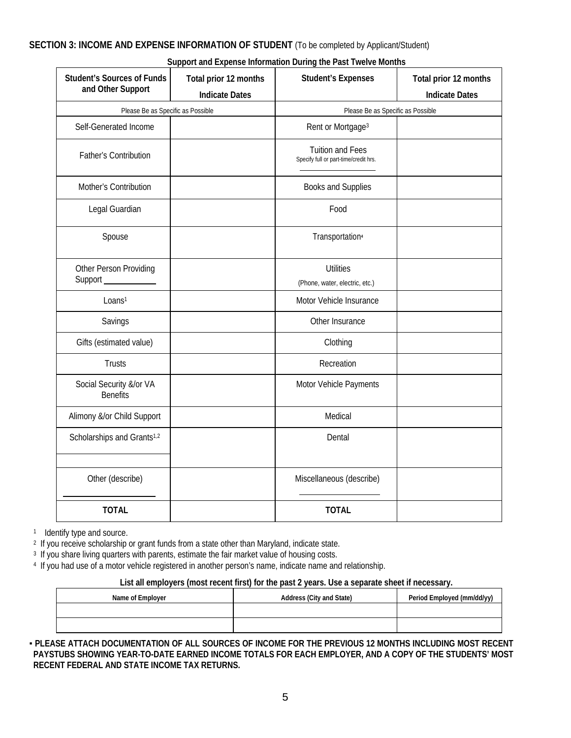# **SECTION 3: INCOME AND EXPENSE INFORMATION OF STUDENT** (To be completed by Applicant/Student)

#### **Support and Expense Information During the Past Twelve Months**

| <b>Student's Sources of Funds</b><br>and Other Support | Total prior 12 months<br><b>Indicate Dates</b> | <b>Student's Expenses</b>                                        | Total prior 12 months<br><b>Indicate Dates</b> |
|--------------------------------------------------------|------------------------------------------------|------------------------------------------------------------------|------------------------------------------------|
| Please Be as Specific as Possible                      |                                                | Please Be as Specific as Possible                                |                                                |
| Self-Generated Income                                  |                                                | Rent or Mortgage <sup>3</sup>                                    |                                                |
| <b>Father's Contribution</b>                           |                                                | <b>Tuition and Fees</b><br>Specify full or part-time/credit hrs. |                                                |
| Mother's Contribution                                  |                                                | Books and Supplies                                               |                                                |
| Legal Guardian                                         |                                                | Food                                                             |                                                |
| Spouse                                                 |                                                | Transportation <sup>4</sup>                                      |                                                |
| Other Person Providing<br>Support                      |                                                | <b>Utilities</b><br>(Phone, water, electric, etc.)               |                                                |
| Loans <sup>1</sup>                                     |                                                | Motor Vehicle Insurance                                          |                                                |
| Savings                                                |                                                | Other Insurance                                                  |                                                |
| Gifts (estimated value)                                |                                                | Clothing                                                         |                                                |
| <b>Trusts</b>                                          |                                                | Recreation                                                       |                                                |
| Social Security &/or VA<br><b>Benefits</b>             |                                                | Motor Vehicle Payments                                           |                                                |
| Alimony &/or Child Support                             |                                                | Medical                                                          |                                                |
| Scholarships and Grants <sup>1,2</sup>                 |                                                | Dental                                                           |                                                |
| Other (describe)                                       |                                                | Miscellaneous (describe)                                         |                                                |
| <b>TOTAL</b>                                           |                                                | <b>TOTAL</b>                                                     |                                                |

<sup>1</sup> Identify type and source.

<sup>2</sup> If you receive scholarship or grant funds from a state other than Maryland, indicate state.

<sup>3</sup> If you share living quarters with parents, estimate the fair market value of housing costs.

4 If you had use of a motor vehicle registered in another person's name, indicate name and relationship.

# **List all employers (most recent first) for the past 2 years. Use a separate sheet if necessary.**

| Name of Employer | Address (City and State) | Period Employed (mm/dd/yy) |
|------------------|--------------------------|----------------------------|
|                  |                          |                            |
|                  |                          |                            |

**- PLEASE ATTACH DOCUMENTATION OF ALL SOURCES OF INCOME FOR THE PREVIOUS 12 MONTHS INCLUDING MOST RECENT PAYSTUBS SHOWING YEAR-TO-DATE EARNED INCOME TOTALS FOR EACH EMPLOYER, AND A COPY OF THE STUDENTS' MOST RECENT FEDERAL AND STATE INCOME TAX RETURNS.**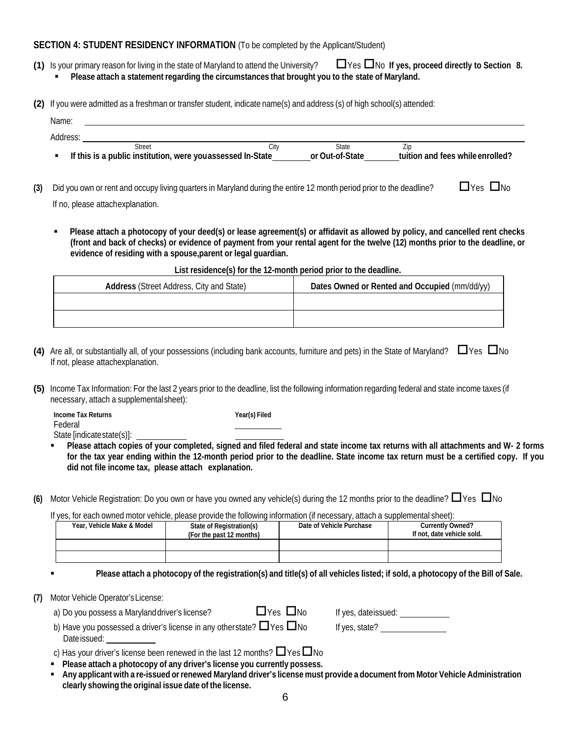#### **SECTION 4: STUDENT RESIDENCY INFORMATION** (To be completed by the Applicant/Student)

- **(1)** Is your primary reason for living in the state of Maryland to attend the University?  $\Box$  Yes  $\Box$  No If yes, proceed directly to Section 8. **Please attach a statement regarding the circumstances that brought you to the state of Maryland.**
- **(2)** If you were admitted as a freshman or transfer student, indicate name(s) and address (s) of high school(s) attended:

| Name:    |                                                             |      |                 |                                  |
|----------|-------------------------------------------------------------|------|-----------------|----------------------------------|
| Address: |                                                             |      |                 |                                  |
|          | Street                                                      | Citv | State           | Zid                              |
|          | If this is a public institution, were you assessed In-State |      | or Out-of-State | tuition and fees while enrolled? |

- **(3)** Did you own or rent and occupy living quarters in Maryland during the entire 12 month period prior to the deadline?  $\Box$  Yes  $\Box$  No If no, please attachexplanation.
	- **Please attach a photocopy of your deed(s) or lease agreement(s) or affidavit as allowed by policy, and cancelled rent checks (front and back of checks) or evidence of payment from your rental agent for the twelve (12) months prior to the deadline, or evidence of residing with a spouse,parent or legal guardian.**

| List residence(s) for the 12-month period prior to the deadline. |                                               |  |  |  |
|------------------------------------------------------------------|-----------------------------------------------|--|--|--|
| <b>Address (Street Address, City and State)</b>                  | Dates Owned or Rented and Occupied (mm/dd/yy) |  |  |  |
|                                                                  |                                               |  |  |  |
|                                                                  |                                               |  |  |  |

- **(4)** Are all, or substantially all, of your possessions (including bank accounts, furniture and pets) in the State of Maryland?  $\Box$  Yes  $\Box$  No If not, please attachexplanation.
- **(5)** Income Tax Information: For the last 2 years prior to the deadline, list the following information regarding federal and state income taxes (if necessary, attach a supplementalsheet):

**Income Tax Returns Year(s) Filed** Federal State [indicatestate(s)]:

- **Please attach copies of your completed, signed and filed federal and state income tax returns with all attachments and W- 2 forms for the tax year ending within the 12-month period prior to the deadline. State income tax return must be a certified copy. If you did not file income tax, please attach explanation.**
- **(6)** Motor Vehicle Registration: Do you own or have you owned any vehicle(s) during the 12 months prior to the deadline?  $\Box$  Yes  $\Box$  No

If yes, for each owned motor vehicle, please provide the following information (if necessary, attach a supplemental sheet):

| Year, Vehicle Make & Model | State of Registration(s)<br>(For the past 12 months) | Date of Vehicle Purchase | <b>Currently Owned?</b><br>If not, date vehicle sold. |
|----------------------------|------------------------------------------------------|--------------------------|-------------------------------------------------------|
|                            |                                                      |                          |                                                       |
|                            |                                                      |                          |                                                       |

Please attach a photocopy of the registration(s) and title(s) of all vehicles listed; if sold, a photocopy of the Bill of Sale.

**(7)** Motor Vehicle Operator'sLicense:

| a) Do you possess a Marylanddriver's license?                                    | $\Box$ Yes $\Box$ No | If yes, dateissued: |
|----------------------------------------------------------------------------------|----------------------|---------------------|
| b) Have you possessed a driver's license in any otherstate? $\Box$ Yes $\Box$ No |                      | If yes, state?      |
| Date issued:                                                                     |                      |                     |

c) Has your driver's license been renewed in the last 12 months?  $\Box$  Yes  $\Box$  No

- **Please attach a photocopy of any driver's license you currently possess.**
- Any applicant with a re-issued or renewed Maryland driver's license must provide a document from Motor Vehicle Administration **clearly showing the original issue date of the license.**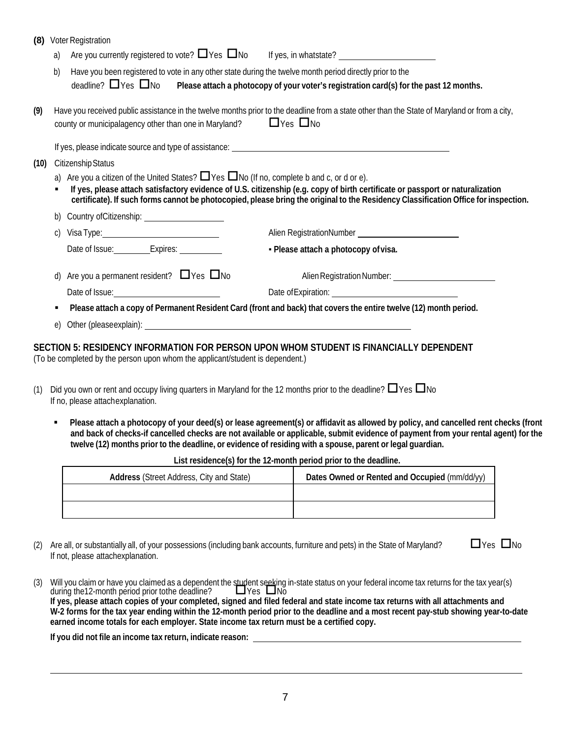| (8)  |    | <b>Voter Registration</b>                                                                                       |                                                                                                                                                                                                                                                                      |
|------|----|-----------------------------------------------------------------------------------------------------------------|----------------------------------------------------------------------------------------------------------------------------------------------------------------------------------------------------------------------------------------------------------------------|
|      | a) | Are you currently registered to vote? $\Box$ Yes $\Box$ No If yes, in whatstate?                                |                                                                                                                                                                                                                                                                      |
|      | b) | Have you been registered to vote in any other state during the twelve month period directly prior to the        |                                                                                                                                                                                                                                                                      |
|      |    | deadline? $\Box$ Yes $\Box$ No                                                                                  | Please attach a photocopy of your voter's registration card(s) for the past 12 months.                                                                                                                                                                               |
| (9)  |    | county or municipalagency other than one in Maryland? $\Box$ Yes $\Box$ No                                      | Have you received public assistance in the twelve months prior to the deadline from a state other than the State of Maryland or from a city,                                                                                                                         |
|      |    |                                                                                                                 |                                                                                                                                                                                                                                                                      |
| (10) |    | Citizenship Status                                                                                              |                                                                                                                                                                                                                                                                      |
|      |    | a) Are you a citizen of the United States? $\Box$ Yes $\Box$ No (If no, complete b and c, or d or e).           | If yes, please attach satisfactory evidence of U.S. citizenship (e.g. copy of birth certificate or passport or naturalization<br>certificate). If such forms cannot be photocopied, please bring the original to the Residency Classification Office for inspection. |
|      | b) | Country of Citizenship: <u>country</u>                                                                          |                                                                                                                                                                                                                                                                      |
|      | C) | Visa Type: 1990 and 1990 and 1990 and 1990 and 1990 and 1990 and 1990 and 1990 and 1990 and 1990 and 1990 and 1 |                                                                                                                                                                                                                                                                      |
|      |    | Date of Issue: ___________Expires: ___________                                                                  | - Please attach a photocopy of visa.                                                                                                                                                                                                                                 |
|      |    | d) Are you a permanent resident? $\Box$ Yes $\Box$ No                                                           |                                                                                                                                                                                                                                                                      |
|      |    |                                                                                                                 |                                                                                                                                                                                                                                                                      |
|      | ٠  |                                                                                                                 | Please attach a copy of Permanent Resident Card (front and back) that covers the entire twelve (12) month period.                                                                                                                                                    |
|      | e) |                                                                                                                 |                                                                                                                                                                                                                                                                      |

#### **SECTION 5: RESIDENCY INFORMATION FOR PERSON UPON WHOM STUDENT IS FINANCIALLY DEPENDENT**

(To be completed by the person upon whom the applicant/student is dependent.)

- (1) Did you own or rent and occupy living quarters in Maryland for the 12 months prior to the deadline?  $\Box$  Yes  $\Box$  No If no, please attachexplanation.
	- Please attach a photocopy of your deed(s) or lease agreement(s) or affidavit as allowed by policy, and cancelled rent checks (front and back of checks-if cancelled checks are not available or applicable, submit evidence of payment from your rental agent) for the twelve (12) months prior to the deadline, or evidence of residing with a spouse, parent or legal quardian.

| <b>Address (Street Address, City and State)</b> | Dates Owned or Rented and Occupied (mm/dd/yy) |
|-------------------------------------------------|-----------------------------------------------|
|                                                 |                                               |
|                                                 |                                               |

**List residence(s) for the 12-month period prior to the deadline.**

(2) Are all, or substantially all, of your possessions (including bank accounts, furniture and pets) in the State of Maryland?  $\square$  Yes  $\square$  No If not, please attachexplanation.

(3) Will you claim or have you claimed as a dependent the student seeking in-state status on your federal income tax returns for the tax year(s) during the12-month period prior tothe deadline?  $\Box$  Yes  $\Box$  No **If yes, please attach copies of your completed, signed and filed federal and state income tax returns with all attachments and W-2 forms for the tax year ending within the 12-month period prior to the deadline and a most recent pay-stub showing year-to-date earned income totals for each employer. State income tax return must be a certified copy.**

**If you did not file an income tax return, indicate reason:**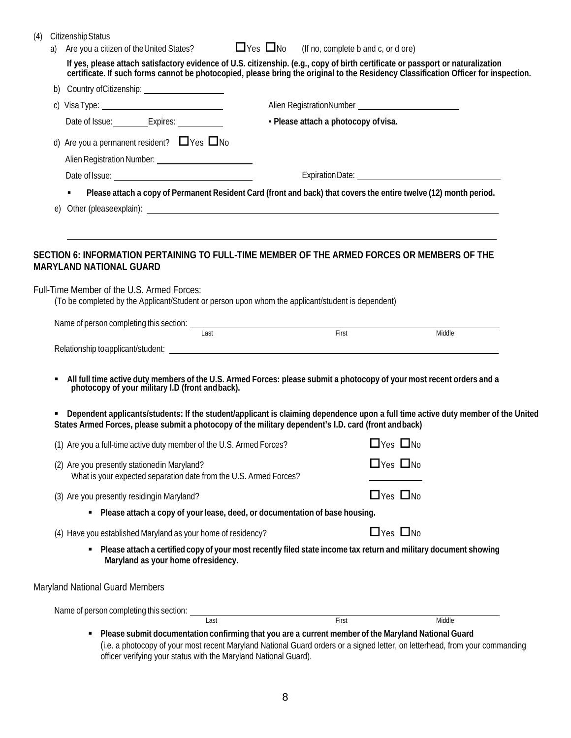| (4) |    | <b>Citizenship Status</b><br>Are you a citizen of the United States? $\Box$ Yes $\Box$ No (If no, complete b and c, or d ore)                                                                                                                                                                                                                                                                                       |                                                                                                                                                                                                                                                      |                      |        |  |  |  |  |
|-----|----|---------------------------------------------------------------------------------------------------------------------------------------------------------------------------------------------------------------------------------------------------------------------------------------------------------------------------------------------------------------------------------------------------------------------|------------------------------------------------------------------------------------------------------------------------------------------------------------------------------------------------------------------------------------------------------|----------------------|--------|--|--|--|--|
|     | a) | If yes, please attach satisfactory evidence of U.S. citizenship. (e.g., copy of birth certificate or passport or naturalization<br>certificate. If such forms cannot be photocopied, please bring the original to the Residency C                                                                                                                                                                                   |                                                                                                                                                                                                                                                      |                      |        |  |  |  |  |
|     | b) | Country ofCitizenship: ______________________                                                                                                                                                                                                                                                                                                                                                                       |                                                                                                                                                                                                                                                      |                      |        |  |  |  |  |
|     |    |                                                                                                                                                                                                                                                                                                                                                                                                                     |                                                                                                                                                                                                                                                      |                      |        |  |  |  |  |
|     |    | Date of Issue: ___________Expires: ____________                                                                                                                                                                                                                                                                                                                                                                     | - Please attach a photocopy of visa.                                                                                                                                                                                                                 |                      |        |  |  |  |  |
|     |    | d) Are you a permanent resident? $\Box$ Yes $\Box$ No                                                                                                                                                                                                                                                                                                                                                               |                                                                                                                                                                                                                                                      |                      |        |  |  |  |  |
|     |    |                                                                                                                                                                                                                                                                                                                                                                                                                     |                                                                                                                                                                                                                                                      |                      |        |  |  |  |  |
|     |    |                                                                                                                                                                                                                                                                                                                                                                                                                     |                                                                                                                                                                                                                                                      |                      |        |  |  |  |  |
|     | e) | Please attach a copy of Permanent Resident Card (front and back) that covers the entire twelve (12) month period.                                                                                                                                                                                                                                                                                                   |                                                                                                                                                                                                                                                      |                      |        |  |  |  |  |
|     |    | SECTION 6: INFORMATION PERTAINING TO FULL-TIME MEMBER OF THE ARMED FORCES OR MEMBERS OF THE<br><b>MARYLAND NATIONAL GUARD</b><br>Full-Time Member of the U.S. Armed Forces:<br>(To be completed by the Applicant/Student or person upon whom the applicant/student is dependent)                                                                                                                                    |                                                                                                                                                                                                                                                      |                      |        |  |  |  |  |
|     |    |                                                                                                                                                                                                                                                                                                                                                                                                                     |                                                                                                                                                                                                                                                      |                      |        |  |  |  |  |
|     |    | Name of person completing this section:<br>ast First First First                                                                                                                                                                                                                                                                                                                                                    |                                                                                                                                                                                                                                                      |                      | Middle |  |  |  |  |
|     |    |                                                                                                                                                                                                                                                                                                                                                                                                                     |                                                                                                                                                                                                                                                      |                      |        |  |  |  |  |
|     |    | All full time active duty members of the U.S. Armed Forces: please submit a photocopy of your most recent orders and a photocopy of your military I.D (front andback).<br>Dependent applicants/students: If the student/applicant is claiming dependence upon a full time active duty member of the United<br>States Armed Forces, please submit a photocopy of the military dependent's I.D. card (front and back) |                                                                                                                                                                                                                                                      |                      |        |  |  |  |  |
|     |    | (1) Are you a full-time active duty member of the U.S. Armed Forces? $\square$ Yes $\square$ No                                                                                                                                                                                                                                                                                                                     |                                                                                                                                                                                                                                                      |                      |        |  |  |  |  |
|     |    | (2) Are you presently stationedin Maryland?<br>What is your expected separation date from the U.S. Armed Forces?                                                                                                                                                                                                                                                                                                    |                                                                                                                                                                                                                                                      | $\Box$ Yes $\Box$ No |        |  |  |  |  |
|     |    | (3) Are you presently residingin Maryland?                                                                                                                                                                                                                                                                                                                                                                          |                                                                                                                                                                                                                                                      | $\Box$ Yes $\Box$ No |        |  |  |  |  |
|     |    | • Please attach a copy of your lease, deed, or documentation of base housing.                                                                                                                                                                                                                                                                                                                                       |                                                                                                                                                                                                                                                      |                      |        |  |  |  |  |
|     |    | (4) Have you established Maryland as your home of residency?                                                                                                                                                                                                                                                                                                                                                        |                                                                                                                                                                                                                                                      | $\Box$ Yes $\Box$ No |        |  |  |  |  |
|     |    | Please attach a certified copy of your most recently filed state income tax return and military document showing<br>Maryland as your home of residency.                                                                                                                                                                                                                                                             |                                                                                                                                                                                                                                                      |                      |        |  |  |  |  |
|     |    | Maryland National Guard Members                                                                                                                                                                                                                                                                                                                                                                                     |                                                                                                                                                                                                                                                      |                      |        |  |  |  |  |
|     |    | Name of person completing this section: _____                                                                                                                                                                                                                                                                                                                                                                       | <u>and the community of the community of the community of the community of the community of the community of the community of the community of the community of the community of the community of the community of the community</u><br><b>First</b> |                      | Middle |  |  |  |  |
|     |    | Please submit documentation confirming that you are a current member of the Maryland National Guard<br>٠<br>(i.e. a photocopy of your most recent Maryland National Guard orders or a signed letter, on letterhead, from your commanding<br>officer verifying your status with the Maryland National Guard).                                                                                                        |                                                                                                                                                                                                                                                      |                      |        |  |  |  |  |

8